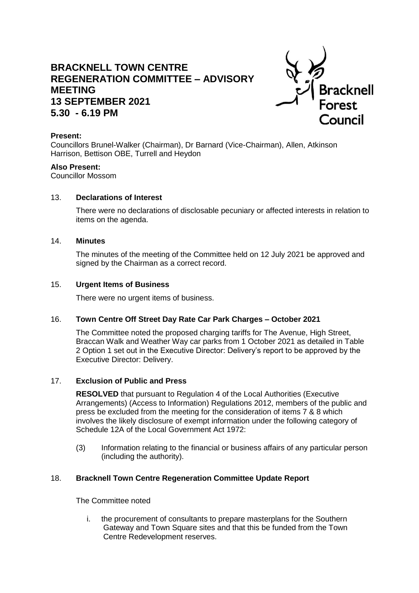# **BRACKNELL TOWN CENTRE REGENERATION COMMITTEE – ADVISORY MEETING 13 SEPTEMBER 2021 5.30 - 6.19 PM**



#### **Present:**

Councillors Brunel-Walker (Chairman), Dr Barnard (Vice-Chairman), Allen, Atkinson Harrison, Bettison OBE, Turrell and Heydon

#### **Also Present:**

Councillor Mossom

#### 13. **Declarations of Interest**

There were no declarations of disclosable pecuniary or affected interests in relation to items on the agenda.

#### 14. **Minutes**

The minutes of the meeting of the Committee held on 12 July 2021 be approved and signed by the Chairman as a correct record.

#### 15. **Urgent Items of Business**

There were no urgent items of business.

#### 16. **Town Centre Off Street Day Rate Car Park Charges – October 2021**

The Committee noted the proposed charging tariffs for The Avenue, High Street, Braccan Walk and Weather Way car parks from 1 October 2021 as detailed in Table 2 Option 1 set out in the Executive Director: Delivery's report to be approved by the Executive Director: Delivery.

#### 17. **Exclusion of Public and Press**

**RESOLVED** that pursuant to Regulation 4 of the Local Authorities (Executive Arrangements) (Access to Information) Regulations 2012, members of the public and press be excluded from the meeting for the consideration of items 7 & 8 which involves the likely disclosure of exempt information under the following category of Schedule 12A of the Local Government Act 1972:

(3) Information relating to the financial or business affairs of any particular person (including the authority).

#### 18. **Bracknell Town Centre Regeneration Committee Update Report**

The Committee noted

i. the procurement of consultants to prepare masterplans for the Southern Gateway and Town Square sites and that this be funded from the Town Centre Redevelopment reserves.